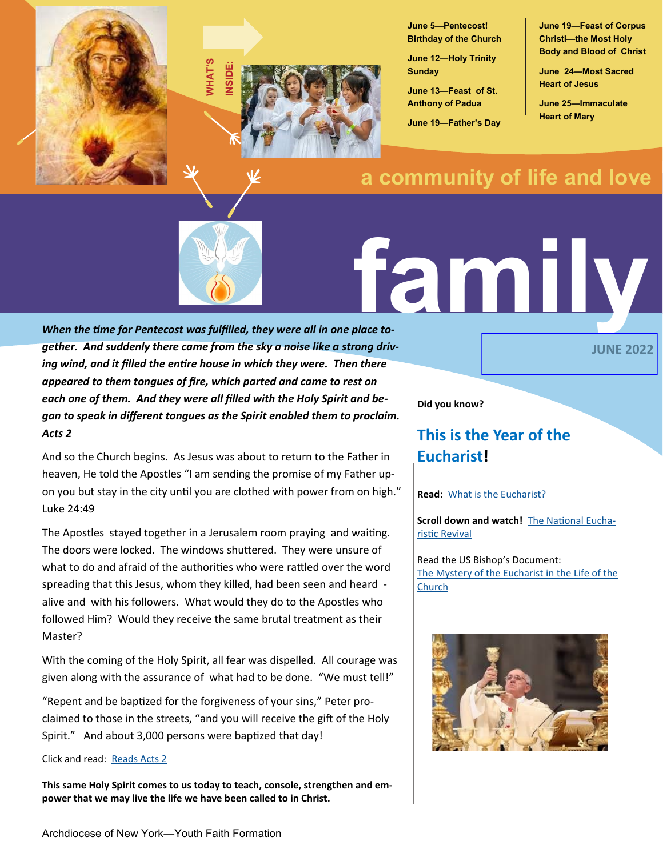



**June 5—Pentecost! Birthday of the Church**

**June 12—Holy Trinity Sunday**

**June 13—Feast of St. Anthony of Padua**

**June 19—Father's Day**

**June 19—Feast of Corpus Christi—the Most Holy Body and Blood of Christ**

**June 24—Most Sacred Heart of Jesus**

**June 25—Immaculate Heart of Mary**

**JUNE 2022**

# **a community of life and love**



# **family**

*When the time for Pentecost was fulfilled, they were all in one place together. And suddenly there came from the sky a noise like a strong driving wind, and it filled the entire house in which they were. Then there appeared to them tongues of fire, which parted and came to rest on each one of them. And they were all filled with the Holy Spirit and began to speak in different tongues as the Spirit enabled them to proclaim. Acts 2* 

And so the Church begins. As Jesus was about to return to the Father in heaven, He told the Apostles "I am sending the promise of my Father upon you but stay in the city until you are clothed with power from on high." Luke 24:49

The Apostles stayed together in a Jerusalem room praying and waiting. The doors were locked. The windows shuttered. They were unsure of what to do and afraid of the authorities who were rattled over the word spreading that this Jesus, whom they killed, had been seen and heard alive and with his followers. What would they do to the Apostles who followed Him? Would they receive the same brutal treatment as their Master?

With the coming of the Holy Spirit, all fear was dispelled. All courage was given along with the assurance of what had to be done. "We must tell!"

"Repent and be baptized for the forgiveness of your sins," Peter proclaimed to those in the streets, "and you will receive the gift of the Holy Spirit." And about 3,000 persons were baptized that day!

Click and read: [Reads Acts 2](https://bible.usccb.org/bible/acts/2)

**This same Holy Spirit comes to us today to teach, console, strengthen and empower that we may live the life we have been called to in Christ.**

**Did you know?**

# **This is the Year of the Eucharist!**

### **Read:** [What is the Eucharist?](https://www.usccb.org/eucharist)

**Scroll down and watch!** [The National Eucha](https://www.usccb.org/eucharist)[ristic Revival](https://www.usccb.org/eucharist)

Read the US Bishop's Document: [The Mystery of the Eucharist in the Life of the](https://www.usccb.org/resources/7-703%20The%20Mystery%20of%20Eucharist,%20for%20RE-UPLOAD,%20JANUARY%202022.pdf)  [Church](https://www.usccb.org/resources/7-703%20The%20Mystery%20of%20Eucharist,%20for%20RE-UPLOAD,%20JANUARY%202022.pdf)

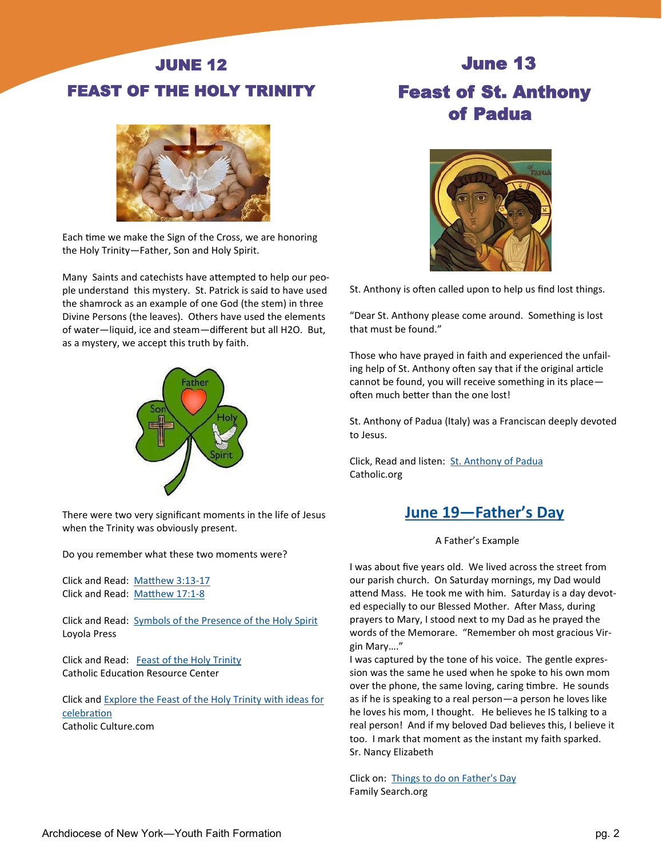# JUNE 12 FEAST OF THE HOLY TRINITY



Each time we make the Sign of the Cross, we are honoring the Holy Trinity—Father, Son and Holy Spirit.

Many Saints and catechists have attempted to help our people understand this mystery. St. Patrick is said to have used the shamrock as an example of one God (the stem) in three Divine Persons (the leaves). Others have used the elements of water—liquid, ice and steam—different but all H2O. But, as a mystery, we accept this truth by faith.



There were two very significant moments in the life of Jesus when the Trinity was obviously present.

Do you remember what these two moments were?

Click and Read: [Matthew 3:13](https://bible.usccb.org/bible/matthew/3)-17 Click and Read: [Matthew 17:1](https://bible.usccb.org/bible/matthew/17)-8

Click and Read: [Symbols of the Presence of the Holy Spirit](https://www.loyolapress.com/catholic-resources/family/catholic-teens/scripture-background-for-teens/symbols-of-the-holy-spirit/) Loyola Press

Click and Read: [Feast of the Holy Trinity](https://www.catholiceducation.org/en/religion-and-philosophy/catholic-faith/the-feast-of-the-holy-trinity.html) Catholic Education Resource Center

Click and [Explore the Feast of the Holy Trinity with ideas for](https://www.catholicculture.org/culture/liturgicalyear/calendar/day.cfm?date=2021-05-30)  [celebration](https://www.catholicculture.org/culture/liturgicalyear/calendar/day.cfm?date=2021-05-30) Catholic Culture.com

# June 13 Feast of St. Anthony of Padua



St. Anthony is often called upon to help us find lost things.

"Dear St. Anthony please come around. Something is lost that must be found."

Those who have prayed in faith and experienced the unfailing help of St. Anthony often say that if the original article cannot be found, you will receive something in its place often much better than the one lost!

St. Anthony of Padua (Italy) was a Franciscan deeply devoted to Jesus.

Click, Read and listen: [St. Anthony of Padua](https://www.catholic.org/saints/saint.php?saint_id=24) Catholic.org

# **June 19—Father's Day**

### A Father's Example

I was about five years old. We lived across the street from our parish church. On Saturday mornings, my Dad would attend Mass. He took me with him. Saturday is a day devoted especially to our Blessed Mother. After Mass, during prayers to Mary, I stood next to my Dad as he prayed the words of the Memorare. "Remember oh most gracious Virgin Mary…."

I was captured by the tone of his voice. The gentle expression was the same he used when he spoke to his own mom over the phone, the same loving, caring timbre. He sounds as if he is speaking to a real person—a person he loves like he loves his mom, I thought. He believes he IS talking to a real person! And if my beloved Dad believes this, I believe it too. I mark that moment as the instant my faith sparked. Sr. Nancy Elizabeth

Click on: [Things to do on Father's Day](https://www.familysearch.org/en/blog/things-to-do-for-fathers-day-20-idea) Family Search.org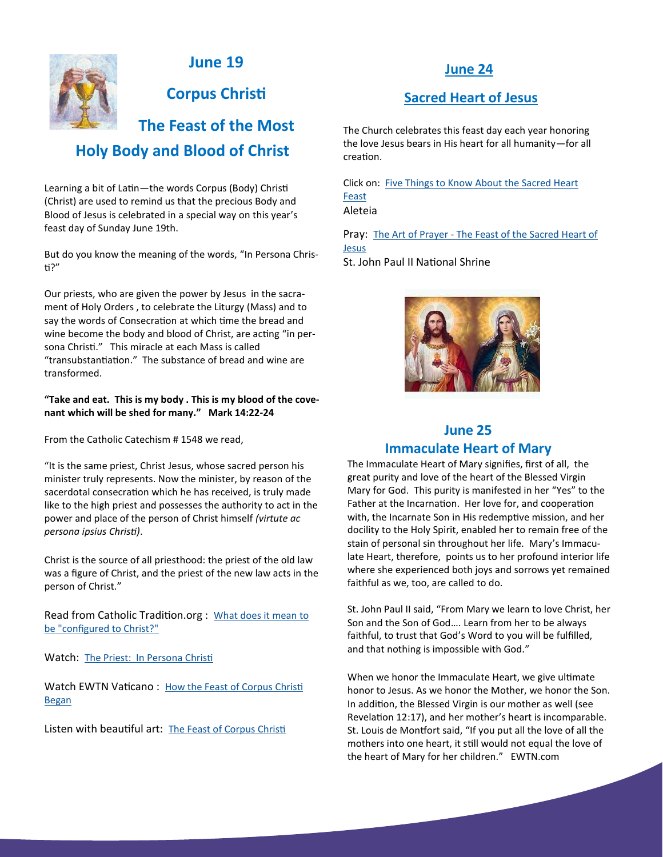

## **June 19**

**Corpus Christi**

# **The Feast of the Most Holy Body and Blood of Christ**

Learning a bit of Latin—the words Corpus (Body) Christi (Christ) are used to remind us that the precious Body and Blood of Jesus is celebrated in a special way on this year's feast day of Sunday June 19th.

But do you know the meaning of the words, "In Persona Christi?"

Our priests, who are given the power by Jesus in the sacrament of Holy Orders , to celebrate the Liturgy (Mass) and to say the words of Consecration at which time the bread and wine become the body and blood of Christ, are acting "in persona Christi." This miracle at each Mass is called "transubstantiation." The substance of bread and wine are transformed.

### **"Take and eat. This is my body . This is my blood of the covenant which will be shed for many." Mark 14:22-24**

From the Catholic Catechism # 1548 we read,

"It is the same priest, Christ Jesus, whose sacred person his minister truly represents. Now the minister, by reason of the sacerdotal consecration which he has received, is truly made like to the high priest and possesses the authority to act in the power and place of the person of Christ himself *(virtute ac persona ipsius Christi)*.

Christ is the source of all priesthood: the priest of the old law was a figure of Christ, and the priest of the new law acts in the person of Christ."

Read from Catholic Tradition.org : What does it mean to [be "configured to Christ?"](http://www.catholictradition.org/Priests/priests6.htm)

Watch: [The Priest: In Persona Christi](https://www.bing.com/videos/search?q=Priest+in+Persona+Christi&&view=detail&mid=73932F917F69BF7E1B0773932F917F69BF7E1B07&&FORM=VRDGAR&ru=%2Fvideos%2Fsearch%3Fq%3DPriest%2Bin%2BPersona%2BChristi%26Form%3DVDRSCL%26%3D0)

Watch EWTN Vaticano: How the Feast of Corpus Christi [Began](https://www.youtube.com/watch?v=WIJDaijkD54)

Listen with beautiful art: [The Feast of Corpus Christi](https://www.youtube.com/watch?v=CFK72BNai74)

## **June 24**

## **Sacred Heart of Jesus**

The Church celebrates this feast day each year honoring the love Jesus bears in His heart for all humanity—for all creation.

Click on: [Five Things to Know About the Sacred Heart](https://aleteia.org/2021/06/10/5-things-to-know-about-the-sacred-heart-feast/)  [Feast](https://aleteia.org/2021/06/10/5-things-to-know-about-the-sacred-heart-feast/) Aleteia

Pray: The Art of Prayer - [The Feast of the Sacred Heart of](https://www.youtube.com/watch?v=7Qw7p2Fho_k)  [Jesus](https://www.youtube.com/watch?v=7Qw7p2Fho_k) St. John Paul II National Shrine



## **June 25 Immaculate Heart of Mary**

The Immaculate Heart of Mary signifies, first of all, the great purity and love of the heart of the Blessed Virgin Mary for God. This purity is manifested in her "Yes" to the Father at the Incarnation. Her love for, and cooperation with, the Incarnate Son in His redemptive mission, and her docility to the Holy Spirit, enabled her to remain free of the stain of personal sin throughout her life. Mary's Immaculate Heart, therefore, points us to her profound interior life where she experienced both joys and sorrows yet remained faithful as we, too, are called to do.

St. John Paul II said, "From Mary we learn to love Christ, her Son and the Son of God…. Learn from her to be always faithful, to trust that God's Word to you will be fulfilled, and that nothing is impossible with God."

When we honor the Immaculate Heart, we give ultimate honor to Jesus. As we honor the Mother, we honor the Son. In addition, the Blessed Virgin is our mother as well (see Revelation 12:17), and her mother's heart is incomparable. St. Louis de Montfort said, "If you put all the love of all the mothers into one heart, it still would not equal the love of the heart of Mary for her children." EWTN.com